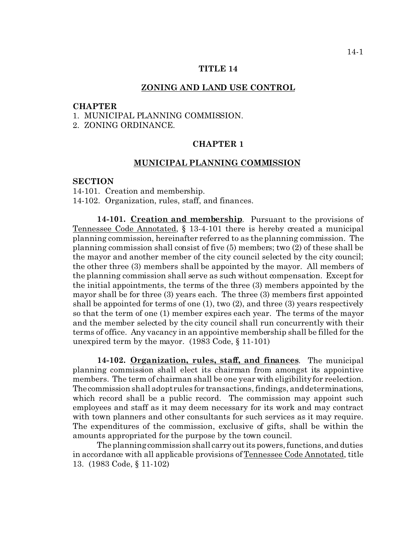#### **TITLE 14**

#### **ZONING AND LAND USE CONTROL**

### **CHAPTER**

- 1. MUNICIPAL PLANNING COMMISSION.
- 2. ZONING ORDINANCE.

# **CHAPTER 1**

## **MUNICIPAL PLANNING COMMISSION**

## **SECTION**

14-101. Creation and membership.

14-102. Organization, rules, staff, and finances.

**14-101. Creation and membership**. Pursuant to the provisions of Tennessee Code Annotated, § 13-4-101 there is hereby created a municipal planning commission, hereinafter referred to as the planning commission. The planning commission shall consist of five (5) members; two (2) of these shall be the mayor and another member of the city council selected by the city council; the other three (3) members shall be appointed by the mayor. All members of the planning commission shall serve as such without compensation. Except for the initial appointments, the terms of the three (3) members appointed by the mayor shall be for three (3) years each. The three (3) members first appointed shall be appointed for terms of one (1), two (2), and three (3) years respectively so that the term of one (1) member expires each year. The terms of the mayor and the member selected by the city council shall run concurrently with their terms of office. Any vacancy in an appointive membership shall be filled for the unexpired term by the mayor. (1983 Code, § 11-101)

**14-102. Organization, rules, staff, and finances**. The municipal planning commission shall elect its chairman from amongst its appointive members. The term of chairman shall be one year with eligibility for reelection. Thecommission shall adopt rules for transactions, findings, and determinations, which record shall be a public record. The commission may appoint such employees and staff as it may deem necessary for its work and may contract with town planners and other consultants for such services as it may require. The expenditures of the commission, exclusive of gifts, shall be within the amounts appropriated for the purpose by the town council.

The planning commission shall carry out its powers, functions, and duties in accordance with all applicable provisions of Tennessee Code Annotated, title 13. (1983 Code, § 11-102)